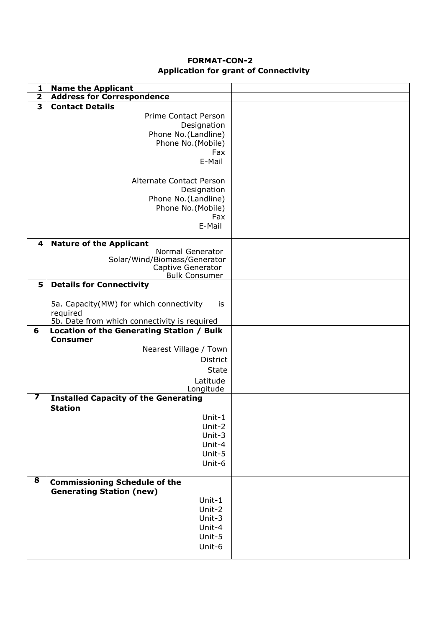## **FORMAT-CON-2 Application for grant of Connectivity**

| 1                       | <b>Name the Applicant</b>                     |  |
|-------------------------|-----------------------------------------------|--|
| $\overline{\mathbf{2}}$ | <b>Address for Correspondence</b>             |  |
| 3                       | <b>Contact Details</b>                        |  |
|                         | <b>Prime Contact Person</b>                   |  |
|                         | Designation                                   |  |
|                         | Phone No.(Landline)                           |  |
|                         | Phone No.(Mobile)                             |  |
|                         | Fax                                           |  |
|                         | E-Mail                                        |  |
|                         |                                               |  |
|                         | <b>Alternate Contact Person</b>               |  |
|                         | Designation                                   |  |
|                         | Phone No.(Landline)                           |  |
|                         |                                               |  |
|                         | Phone No.(Mobile)                             |  |
|                         | Fax                                           |  |
|                         | E-Mail                                        |  |
| 4                       | <b>Nature of the Applicant</b>                |  |
|                         | Normal Generator                              |  |
|                         | Solar/Wind/Biomass/Generator                  |  |
|                         | Captive Generator                             |  |
|                         | <b>Bulk Consumer</b>                          |  |
| 5                       | <b>Details for Connectivity</b>               |  |
|                         |                                               |  |
|                         | 5a. Capacity(MW) for which connectivity<br>İS |  |
|                         | required                                      |  |
|                         | 5b. Date from which connectivity is required  |  |
| 6                       | Location of the Generating Station / Bulk     |  |
|                         | <b>Consumer</b>                               |  |
|                         | Nearest Village / Town                        |  |
|                         | <b>District</b>                               |  |
|                         | <b>State</b>                                  |  |
|                         | Latitude                                      |  |
|                         | Longitude                                     |  |
| $\overline{\mathbf{z}}$ | <b>Installed Capacity of the Generating</b>   |  |
|                         | <b>Station</b>                                |  |
|                         | Unit- $1$                                     |  |
|                         | Unit-2                                        |  |
|                         | Unit-3                                        |  |
|                         |                                               |  |
|                         | Unit-4                                        |  |
|                         | Unit-5                                        |  |
|                         | Unit-6                                        |  |
| 8                       |                                               |  |
|                         | <b>Commissioning Schedule of the</b>          |  |
|                         | <b>Generating Station (new)</b>               |  |
|                         | Unit-1                                        |  |
|                         | Unit-2                                        |  |
|                         | Unit-3                                        |  |
|                         | Unit-4                                        |  |
|                         | Unit-5                                        |  |
|                         | Unit-6                                        |  |
|                         |                                               |  |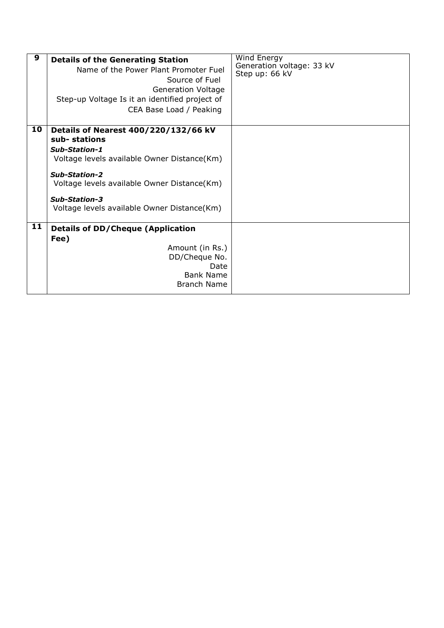| 9  | <b>Details of the Generating Station</b><br>Name of the Power Plant Promoter Fuel<br>Source of Fuel<br><b>Generation Voltage</b><br>Step-up Voltage Is it an identified project of<br>CEA Base Load / Peaking                                                      | Wind Energy<br>Generation voltage: 33 kV<br>Step up: 66 kV |
|----|--------------------------------------------------------------------------------------------------------------------------------------------------------------------------------------------------------------------------------------------------------------------|------------------------------------------------------------|
| 10 | Details of Nearest 400/220/132/66 kV<br>sub-stations<br>Sub-Station-1<br>Voltage levels available Owner Distance(Km)<br><b>Sub-Station-2</b><br>Voltage levels available Owner Distance(Km)<br><b>Sub-Station-3</b><br>Voltage levels available Owner Distance(Km) |                                                            |
| 11 | <b>Details of DD/Cheque (Application</b><br>Fee)<br>Amount (in Rs.)<br>DD/Cheque No.<br>Date<br><b>Bank Name</b><br><b>Branch Name</b>                                                                                                                             |                                                            |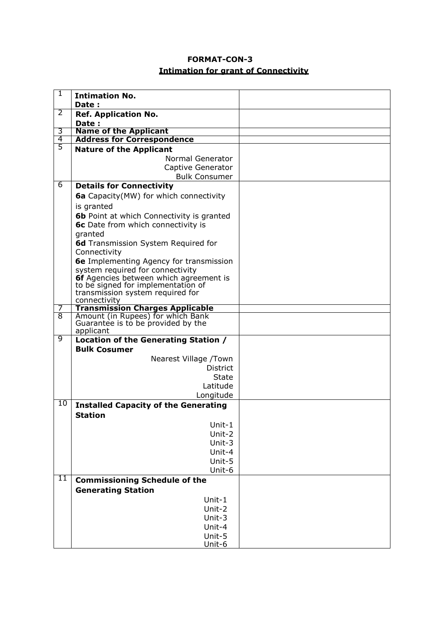# **FORMAT-CON-3 Intimation for grant of Connectivity**

| 1              | <b>Intimation No.</b>                            |  |
|----------------|--------------------------------------------------|--|
|                | Date:                                            |  |
| 2              | <b>Ref. Application No.</b>                      |  |
|                | Date:                                            |  |
| 3              | <b>Name of the Applicant</b>                     |  |
| $\overline{4}$ | <b>Address for Correspondence</b>                |  |
| $\overline{5}$ | <b>Nature of the Applicant</b>                   |  |
|                | Normal Generator                                 |  |
|                | Captive Generator                                |  |
|                | <b>Bulk Consumer</b>                             |  |
| $\overline{6}$ | <b>Details for Connectivity</b>                  |  |
|                | <b>6a</b> Capacity(MW) for which connectivity    |  |
|                | is granted                                       |  |
|                | <b>6b</b> Point at which Connectivity is granted |  |
|                | 6c Date from which connectivity is               |  |
|                | granted                                          |  |
|                | 6d Transmission System Required for              |  |
|                | Connectivity                                     |  |
|                | 6e Implementing Agency for transmission          |  |
|                | system required for connectivity                 |  |
|                | <b>6f</b> Agencies between which agreement is    |  |
|                | to be signed for implementation of               |  |
|                | transmission system required for<br>connectivity |  |
|                | <b>Transmission Charges Applicable</b>           |  |
| $\overline{8}$ | Amount (in Rupees) for which Bank                |  |
|                | Guarantee is to be provided by the               |  |
| 9              | applicant                                        |  |
|                | Location of the Generating Station /             |  |
|                | <b>Bulk Cosumer</b>                              |  |
|                | Nearest Village /Town                            |  |
|                | <b>District</b>                                  |  |
|                | <b>State</b>                                     |  |
|                | Latitude                                         |  |
|                | Longitude                                        |  |
| 10             | <b>Installed Capacity of the Generating</b>      |  |
|                | <b>Station</b>                                   |  |
|                | Unit-1                                           |  |
|                | Unit-2                                           |  |
|                | Unit-3                                           |  |
|                | Unit-4                                           |  |
|                | Unit-5                                           |  |
|                | Unit-6                                           |  |
| 11             | <b>Commissioning Schedule of the</b>             |  |
|                | <b>Generating Station</b>                        |  |
|                | Unit-1                                           |  |
|                | Unit-2                                           |  |
|                | Unit-3                                           |  |
|                | Unit-4                                           |  |
|                | Unit-5                                           |  |
|                | Unit-6                                           |  |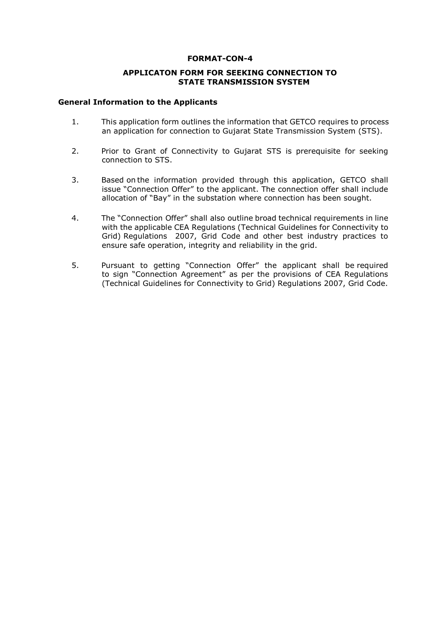#### **FORMAT-CON-4**

#### **APPLICATON FORM FOR SEEKING CONNECTION TO STATE TRANSMISSION SYSTEM**

#### **General Information to the Applicants**

- 1. This application form outlines the information that GETCO requires to process an application for connection to Gujarat State Transmission System (STS).
- 2. Prior to Grant of Connectivity to Gujarat STS is prerequisite for seeking connection to STS.
- 3. Based on the information provided through this application, GETCO shall issue "Connection Offer" to the applicant. The connection offer shall include allocation of "Bay" in the substation where connection has been sought.
- 4. The "Connection Offer" shall also outline broad technical requirements in line with the applicable CEA Regulations (Technical Guidelines for Connectivity to Grid) Regulations 2007, Grid Code and other best industry practices to ensure safe operation, integrity and reliability in the grid.
- 5. Pursuant to getting "Connection Offer" the applicant shall be required to sign "Connection Agreement" as per the provisions of CEA Regulations (Technical Guidelines for Connectivity to Grid) Regulations 2007, Grid Code.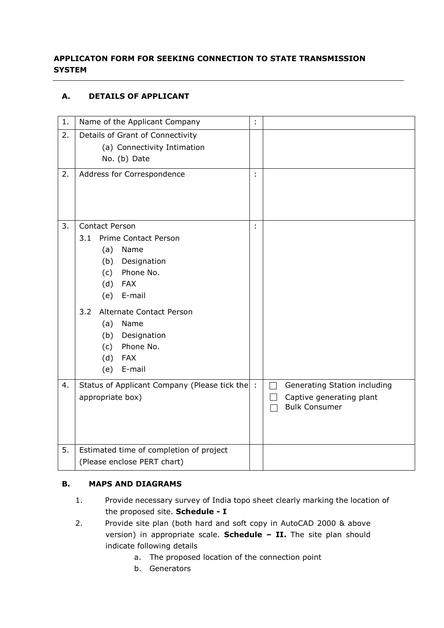# **APPLICATON FORM FOR SEEKING CONNECTION TO STATE TRANSMISSION SYSTEM**

## **A. DETAILS OF APPLICANT**

| 1. | Name of the Applicant Company                  | ÷  |                                                                  |
|----|------------------------------------------------|----|------------------------------------------------------------------|
| 2. | Details of Grant of Connectivity               |    |                                                                  |
|    | (a) Connectivity Intimation                    |    |                                                                  |
|    | No. (b) Date                                   |    |                                                                  |
| 2. | Address for Correspondence                     | t  |                                                                  |
|    |                                                |    |                                                                  |
|    |                                                |    |                                                                  |
|    |                                                |    |                                                                  |
| 3. | <b>Contact Person</b>                          | t, |                                                                  |
|    | 3.1<br>Prime Contact Person                    |    |                                                                  |
|    | (a)<br>Name                                    |    |                                                                  |
|    | Designation<br>(b)                             |    |                                                                  |
|    | Phone No.<br>(c)                               |    |                                                                  |
|    | (d)<br><b>FAX</b>                              |    |                                                                  |
|    | E-mail<br>(e)                                  |    |                                                                  |
|    | Alternate Contact Person<br>3.2                |    |                                                                  |
|    | (a)<br>Name                                    |    |                                                                  |
|    | Designation<br>(b)                             |    |                                                                  |
|    | Phone No.<br>(c)                               |    |                                                                  |
|    | (d)<br><b>FAX</b>                              |    |                                                                  |
|    | E-mail<br>(e)                                  |    |                                                                  |
| 4. | Status of Applicant Company (Please tick the : |    | Generating Station including                                     |
|    | appropriate box)                               |    | Captive generating plant<br>$\mathsf{L}$<br><b>Bulk Consumer</b> |
|    |                                                |    |                                                                  |
|    |                                                |    |                                                                  |
|    |                                                |    |                                                                  |
| 5. | Estimated time of completion of project        |    |                                                                  |
|    | (Please enclose PERT chart)                    |    |                                                                  |

## **B. MAPS AND DIAGRAMS**

- 1. Provide necessary survey of India topo sheet clearly marking the location of the proposed site. **Schedule - I**
- 2. Provide site plan (both hard and soft copy in AutoCAD 2000 & above version) in appropriate scale. **Schedule – II.** The site plan should indicate following details
	- a. The proposed location of the connection point
	- b. Generators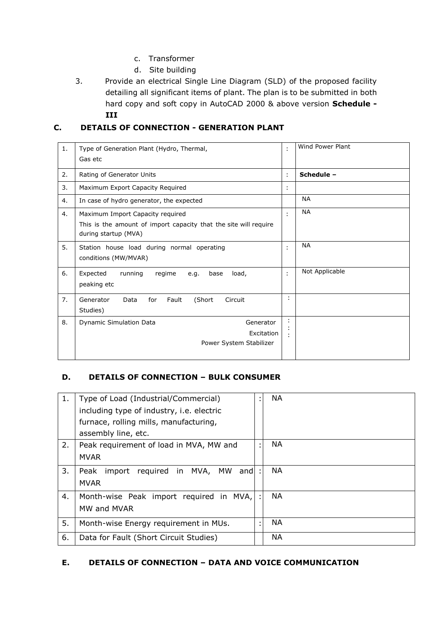- c. Transformer
- d. Site building
- 3. Provide an electrical Single Line Diagram (SLD) of the proposed facility detailing all significant items of plant. The plan is to be submitted in both hard copy and soft copy in AutoCAD 2000 & above version **Schedule - III**

## **C. DETAILS OF CONNECTION - GENERATION PLANT**

| 1. | Type of Generation Plant (Hydro, Thermal,<br>Gas etc                                                                         | ÷ | Wind Power Plant |
|----|------------------------------------------------------------------------------------------------------------------------------|---|------------------|
| 2. | Rating of Generator Units                                                                                                    | ÷ | Schedule -       |
| 3. | Maximum Export Capacity Required                                                                                             | ÷ |                  |
| 4. | In case of hydro generator, the expected                                                                                     |   | <b>NA</b>        |
| 4. | Maximum Import Capacity required<br>This is the amount of import capacity that the site will require<br>during startup (MVA) | ٠ | <b>NA</b>        |
| 5. | Station house load during normal operating<br>conditions (MW/MVAR)                                                           | ٠ | <b>NA</b>        |
| 6. | Expected<br>running<br>regime<br>load,<br>base<br>e.q.<br>peaking etc                                                        | t | Not Applicable   |
| 7. | (Short<br>Fault<br>Circuit<br>Generator<br>Data<br>for<br>Studies)                                                           | ÷ |                  |
| 8. | Dynamic Simulation Data<br>Generator<br>Excitation<br>Power System Stabilizer                                                |   |                  |

## **D. DETAILS OF CONNECTION – BULK CONSUMER**

| 1. | Type of Load (Industrial/Commercial)               | ٠              | <b>NA</b> |
|----|----------------------------------------------------|----------------|-----------|
|    | including type of industry, i.e. electric          |                |           |
|    | furnace, rolling mills, manufacturing,             |                |           |
|    | assembly line, etc.                                |                |           |
| 2. | Peak requirement of load in MVA, MW and            | ٠              | <b>NA</b> |
|    | <b>MVAR</b>                                        |                |           |
| 3. | required in MVA,<br>MW<br>import<br>Peak<br>andl : |                | <b>NA</b> |
|    | <b>MVAR</b>                                        |                |           |
| 4. | Month-wise Peak import required in<br>MVA, I       |                | <b>NA</b> |
|    | MW and MVAR                                        |                |           |
| 5. | Month-wise Energy requirement in MUs.              | $\blacksquare$ | <b>NA</b> |
| 6. | Data for Fault (Short Circuit Studies)             |                | ΝA        |

### **E. DETAILS OF CONNECTION – DATA AND VOICE COMMUNICATION**